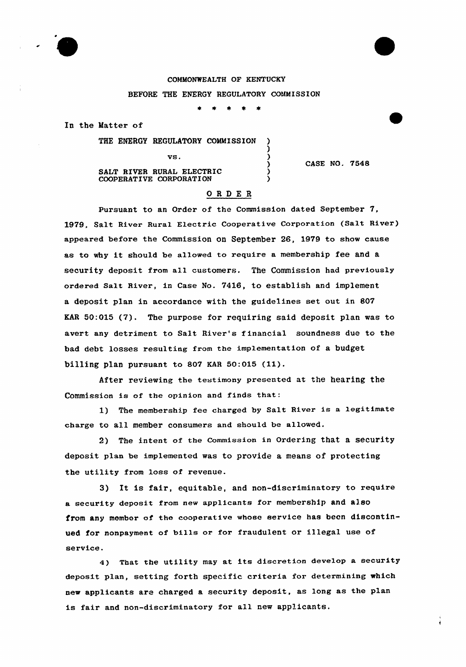

## COMMONWEALTH OF KENTUCKY BEFORE THE ENERGY REGULATORY COMMISSION

 $\bullet$ 

)

)<br>)

In the Matter of

THE ENERGY REGULATORY COMMISSION )

SALT RIVER RURAL ELECTRIC COOPERATIVE CORPORATION

CASE NO. 7548

## ORDE <sup>R</sup>

 $\mathbf{v}\mathbf{s}$ .  $\mathbf{v}\mathbf{s}$ .  $\mathbf{v}\mathbf{s}$ 

Pursuant to an Order of the Commission dated September 7, 1979, Salt River Rural Electric Cooperative Corporation (Salt River) appeared before the Commission on September 28, 1979 to show cause as to why it should be allowed to require <sup>a</sup> membership fee and <sup>a</sup> security deposit from all customers. The Commission had previously ordered Salt River, in Case No. 7416, to establish and implement a deposit plan in accordance with the guidelines set out in 807 EAR 50:015 (7). The purpose for requiring said deposit plan was to avert any detriment to Salt River's f inancial soundness due to the bad debt losses resulting from the implementation of a budget billing plan pursuant to <sup>807</sup> KAR 50:015 (11).

After reviewing the testimony presented at the hearing the Commission is of the opinion and finds that:

1) The membership fee charged by Salt River is <sup>a</sup> legitimate charge to all member consumers and should be allowed.

2) The intent of the commission in ordering that a security deposit plan be implemented was to provide a means of protecting the utility from loss of revenue.

3} It is fair, equitable, and non-discriminatory to require a security deposit from new applicants for membership and also from any member of the cooperative whose service has been discontinued for nonpayment of bills or for fraudulent or illegal use of service.

4) That the utility may at its discretion develop <sup>a</sup> security deposit plan, setting forth specific criteria for determining which new applicants are charged a security deposit, as long as the plan is fair and non-discriminatory for all new applicants.